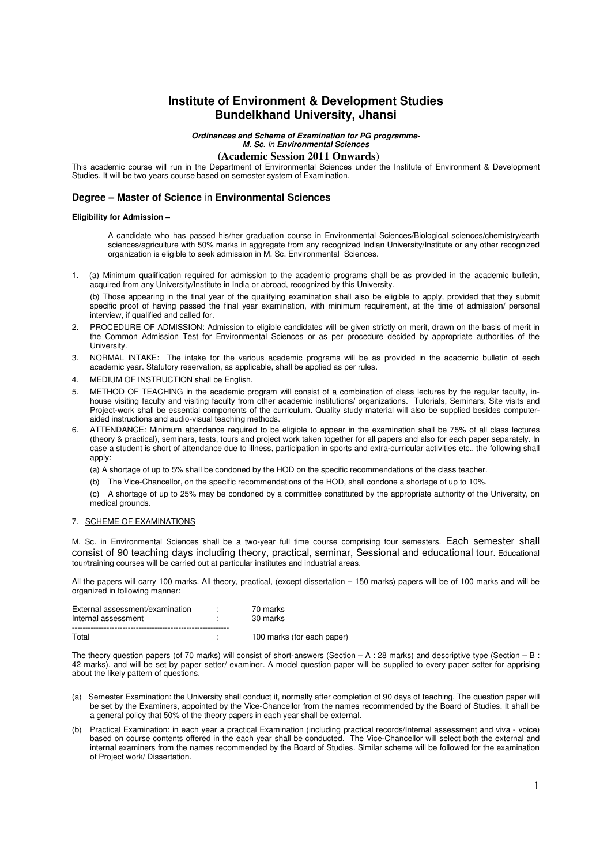# **Institute of Environment & Development Studies Bundelkhand University, Jhansi**

**Ordinances and Scheme of Examination for PG programme-**

# **M. Sc.** In **Environmental Sciences**

 **(Academic Session 2011 Onwards)** 

This academic course will run in the Department of Environmental Sciences under the Institute of Environment & Development Studies. It will be two years course based on semester system of Examination.

# **Degree – Master of Science** in **Environmental Sciences**

#### **Eligibility for Admission –**

A candidate who has passed his/her graduation course in Environmental Sciences/Biological sciences/chemistry/earth sciences/agriculture with 50% marks in aggregate from any recognized Indian University/Institute or any other recognized organization is eligible to seek admission in M. Sc. Environmental Sciences.

1. (a) Minimum qualification required for admission to the academic programs shall be as provided in the academic bulletin, acquired from any University/Institute in India or abroad, recognized by this University.

(b) Those appearing in the final year of the qualifying examination shall also be eligible to apply, provided that they submit specific proof of having passed the final year examination, with minimum requirement, at the time of admission/ personal interview, if qualified and called for.

- 2. PROCEDURE OF ADMISSION: Admission to eligible candidates will be given strictly on merit, drawn on the basis of merit in the Common Admission Test for Environmental Sciences or as per procedure decided by appropriate authorities of the University.
- 3. NORMAL INTAKE: The intake for the various academic programs will be as provided in the academic bulletin of each academic year. Statutory reservation, as applicable, shall be applied as per rules.
- 4. MEDIUM OF INSTRUCTION shall be English.
- 5. METHOD OF TEACHING in the academic program will consist of a combination of class lectures by the regular faculty, inhouse visiting faculty and visiting faculty from other academic institutions/ organizations. Tutorials, Seminars, Site visits and Project-work shall be essential components of the curriculum. Quality study material will also be supplied besides computeraided instructions and audio-visual teaching methods.
- 6. ATTENDANCE: Minimum attendance required to be eligible to appear in the examination shall be 75% of all class lectures (theory & practical), seminars, tests, tours and project work taken together for all papers and also for each paper separately. In case a student is short of attendance due to illness, participation in sports and extra-curricular activities etc., the following shall apply:

(a) A shortage of up to 5% shall be condoned by the HOD on the specific recommendations of the class teacher.

(b) The Vice-Chancellor, on the specific recommendations of the HOD, shall condone a shortage of up to 10%.

(c) A shortage of up to 25% may be condoned by a committee constituted by the appropriate authority of the University, on medical grounds.

# 7. SCHEME OF EXAMINATIONS

M. Sc. in Environmental Sciences shall be a two-year full time course comprising four semesters. Each semester shall consist of 90 teaching days including theory, practical, seminar, Sessional and educational tour. Educational tour/training courses will be carried out at particular institutes and industrial areas.

All the papers will carry 100 marks. All theory, practical, (except dissertation – 150 marks) papers will be of 100 marks and will be organized in following manner:

| External assessment/examination<br>Internal assessment | 70 marks<br>30 marks       |
|--------------------------------------------------------|----------------------------|
| Total                                                  | 100 marks (for each paper) |

The theory question papers (of 70 marks) will consist of short-answers (Section  $- A : 28$  marks) and descriptive type (Section  $- B : 28$ 42 marks), and will be set by paper setter/ examiner. A model question paper will be supplied to every paper setter for apprising about the likely pattern of questions.

- (a) Semester Examination: the University shall conduct it, normally after completion of 90 days of teaching. The question paper will be set by the Examiners, appointed by the Vice-Chancellor from the names recommended by the Board of Studies. It shall be a general policy that 50% of the theory papers in each year shall be external.
- (b) Practical Examination: in each year a practical Examination (including practical records/Internal assessment and viva voice) based on course contents offered in the each year shall be conducted. The Vice-Chancellor will select both the external and internal examiners from the names recommended by the Board of Studies. Similar scheme will be followed for the examination of Project work/ Dissertation.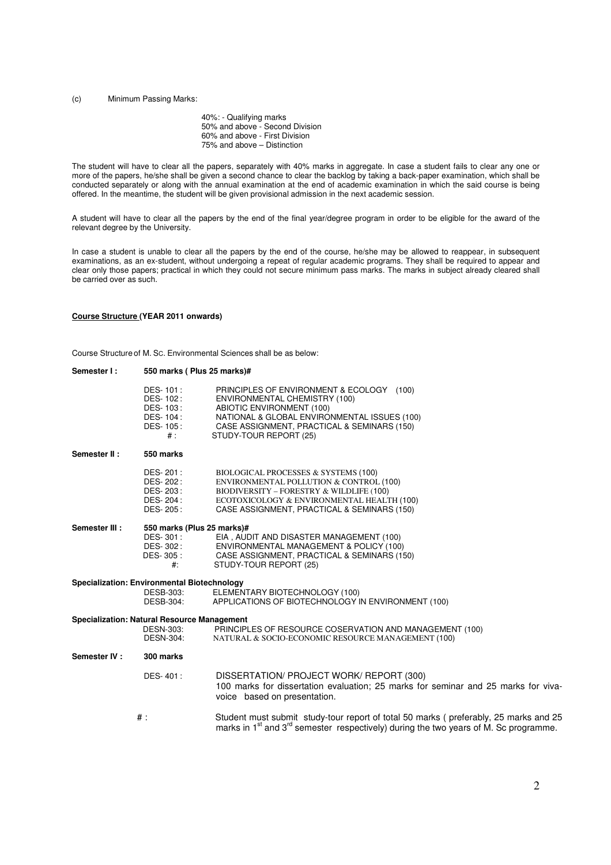#### (c) Minimum Passing Marks:

40%: - Qualifying marks 50% and above - Second Division 60% and above - First Division 75% and above – Distinction

The student will have to clear all the papers, separately with 40% marks in aggregate. In case a student fails to clear any one or more of the papers, he/she shall be given a second chance to clear the backlog by taking a back-paper examination, which shall be conducted separately or along with the annual examination at the end of academic examination in which the said course is being offered. In the meantime, the student will be given provisional admission in the next academic session.

A student will have to clear all the papers by the end of the final year/degree program in order to be eligible for the award of the relevant degree by the University.

In case a student is unable to clear all the papers by the end of the course, he/she may be allowed to reappear, in subsequent examinations, as an ex-student, without undergoing a repeat of regular academic programs. They shall be required to appear and clear only those papers; practical in which they could not secure minimum pass marks. The marks in subject already cleared shall be carried over as such.

# **Course Structure (YEAR 2011 onwards)**

Course Structure of M. SC. Environmental Sciences shall be as below:

| Semester I:                                        | 550 marks (Plus 25 marks)#                                        |                                                                                                                                                                                                                                  |  |
|----------------------------------------------------|-------------------------------------------------------------------|----------------------------------------------------------------------------------------------------------------------------------------------------------------------------------------------------------------------------------|--|
|                                                    | DES-101:<br>DES-102:<br>DES-103:<br>DES-104:<br>DES-105:<br>$#$ : | PRINCIPLES OF ENVIRONMENT & ECOLOGY (100)<br>ENVIRONMENTAL CHEMISTRY (100)<br>ABIOTIC ENVIRONMENT (100)<br>NATIONAL & GLOBAL ENVIRONMENTAL ISSUES (100)<br>CASE ASSIGNMENT, PRACTICAL & SEMINARS (150)<br>STUDY-TOUR REPORT (25) |  |
| Semester II:                                       | 550 marks                                                         |                                                                                                                                                                                                                                  |  |
|                                                    | DES-201:<br>DES-202:<br>DES-203:<br>DES-204:<br>DES-205:          | BIOLOGICAL PROCESSES & SYSTEMS (100)<br>ENVIRONMENTAL POLLUTION & CONTROL (100)<br>BIODIVERSITY - FORESTRY & WILDLIFE (100)<br>ECOTOXICOLOGY & ENVIRONMENTAL HEALTH (100)<br>CASE ASSIGNMENT, PRACTICAL & SEMINARS (150)         |  |
| Semester III :<br>550 marks (Plus 25 marks)#       |                                                                   |                                                                                                                                                                                                                                  |  |
|                                                    | DES-301:<br>DES-302:                                              | EIA, AUDIT AND DISASTER MANAGEMENT (100)<br>ENVIRONMENTAL MANAGEMENT & POLICY (100)                                                                                                                                              |  |
|                                                    | DES-305 :                                                         | CASE ASSIGNMENT, PRACTICAL & SEMINARS (150)                                                                                                                                                                                      |  |
|                                                    | $#$ :                                                             | STUDY-TOUR REPORT (25)                                                                                                                                                                                                           |  |
| Specialization: Environmental Biotechnology        |                                                                   |                                                                                                                                                                                                                                  |  |
|                                                    | DESB-303:                                                         | ELEMENTARY BIOTECHNOLOGY (100)                                                                                                                                                                                                   |  |
|                                                    | DESB-304:                                                         | APPLICATIONS OF BIOTECHNOLOGY IN ENVIRONMENT (100)                                                                                                                                                                               |  |
| <b>Specialization: Natural Resource Management</b> |                                                                   |                                                                                                                                                                                                                                  |  |
|                                                    | <b>DESN-303:</b>                                                  | PRINCIPLES OF RESOURCE COSERVATION AND MANAGEMENT (100)                                                                                                                                                                          |  |
|                                                    | <b>DESN-304:</b>                                                  | NATURAL & SOCIO-ECONOMIC RESOURCE MANAGEMENT (100)                                                                                                                                                                               |  |
| Semester IV:                                       | 300 marks                                                         |                                                                                                                                                                                                                                  |  |
|                                                    | DES-401:                                                          | DISSERTATION/ PROJECT WORK/ REPORT (300)<br>100 marks for dissertation evaluation; 25 marks for seminar and 25 marks for viva-<br>voice based on presentation.                                                                   |  |
|                                                    | $#$ :                                                             | Student must submit study-tour report of total 50 marks (preferably, 25 marks and 25<br>marks in 1 <sup>st</sup> and 3 <sup>rd</sup> semester respectively) during the two years of M. Sc programme.                             |  |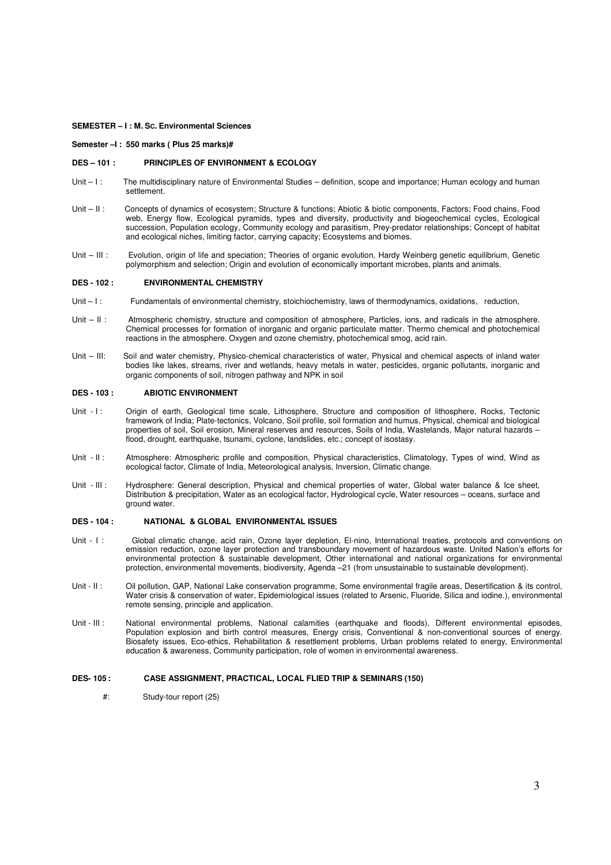**SEMESTER – I : M. SC. Environmental Sciences** 

**Semester –I : 550 marks ( Plus 25 marks)#**

# **DES – 101 : PRINCIPLES OF ENVIRONMENT & ECOLOGY**

- Unit  $-1$ : The multidisciplinary nature of Environmental Studies definition, scope and importance; Human ecology and human settlement.
- Unit II: Concepts of dynamics of ecosystem; Structure & functions; Abiotic & biotic components, Factors; Food chains, Food web, Energy flow, Ecological pyramids, types and diversity, productivity and biogeochemical cycles, Ecological succession, Population ecology, Community ecology and parasitism, Prey-predator relationships; Concept of habitat and ecological niches, limiting factor, carrying capacity; Ecosystems and biomes.
- Unit III : Evolution, origin of life and speciation; Theories of organic evolution, Hardy Weinberg genetic equilibrium, Genetic polymorphism and selection; Origin and evolution of economically important microbes, plants and animals.

# **DES - 102 : ENVIRONMENTAL CHEMISTRY**

- Unit I: Fundamentals of environmental chemistry, stoichiochemistry, laws of thermodynamics, oxidations, reduction,
- Unit II: Atmospheric chemistry, structure and composition of atmosphere, Particles, ions, and radicals in the atmosphere. Chemical processes for formation of inorganic and organic particulate matter. Thermo chemical and photochemical reactions in the atmosphere. Oxygen and ozone chemistry, photochemical smog, acid rain.
- Unit III: Soil and water chemistry, Physico-chemical characteristics of water, Physical and chemical aspects of inland water bodies like lakes, streams, river and wetlands, heavy metals in water, pesticides, organic pollutants, inorganic and organic components of soil, nitrogen pathway and NPK in soil

## **DES - 103 : ABIOTIC ENVIRONMENT**

- Unit I: Origin of earth, Geological time scale, Lithosphere, Structure and composition of lithosphere, Rocks, Tectonic framework of India; Plate-tectonics, Volcano, Soil profile, soil formation and humus, Physical, chemical and biological properties of soil, Soil erosion, Mineral reserves and resources, Soils of India, Wastelands, Major natural hazards – flood, drought, earthquake, tsunami, cyclone, landslides, etc.; concept of isostasy.
- Unit II: Atmosphere: Atmospheric profile and composition, Physical characteristics, Climatology, Types of wind, Wind as ecological factor, Climate of India, Meteorological analysis, Inversion, Climatic change.
- Unit III: Hydrosphere: General description, Physical and chemical properties of water, Global water balance & Ice sheet, Distribution & precipitation, Water as an ecological factor, Hydrological cycle, Water resources – oceans, surface and ground water.

#### **DES - 104 : NATIONAL & GLOBAL ENVIRONMENTAL ISSUES**

- Unit I: Global climatic change, acid rain, Ozone layer depletion, El-nino, International treaties, protocols and conventions on emission reduction, ozone layer protection and transboundary movement of hazardous waste. United Nation's efforts for environmental protection & sustainable development, Other international and national organizations for environmental protection, environmental movements, biodiversity, Agenda –21 (from unsustainable to sustainable development).
- Unit II : Oil pollution, GAP, National Lake conservation programme, Some environmental fragile areas, Desertification & its control, Water crisis & conservation of water, Epidemiological issues (related to Arsenic, Fluoride, Silica and iodine.), environmental remote sensing, principle and application.
- Unit III : National environmental problems, National calamities (earthquake and floods), Different environmental episodes, Population explosion and birth control measures, Energy crisis, Conventional & non-conventional sources of energy. Biosafety issues, Eco-ethics, Rehabilitation & resettlement problems, Urban problems related to energy, Environmental education & awareness, Community participation, role of women in environmental awareness.

#### **DES- 105 : CASE ASSIGNMENT, PRACTICAL, LOCAL FLIED TRIP & SEMINARS (150)**

#: Study-tour report (25)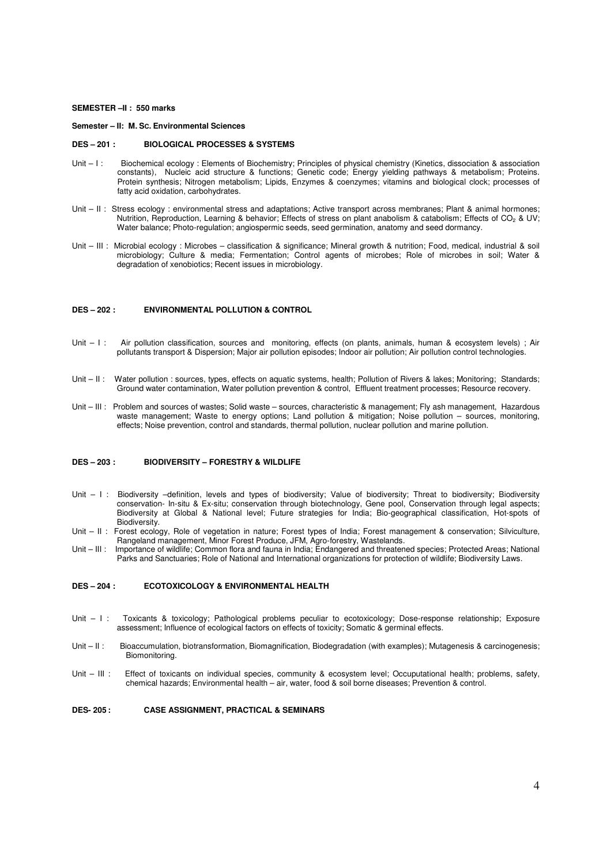#### **SEMESTER –II : 550 marks**

#### **Semester – II: M. SC. Environmental Sciences**

#### **DES – 201 : BIOLOGICAL PROCESSES & SYSTEMS**

- Unit I: Biochemical ecology : Elements of Biochemistry; Principles of physical chemistry (Kinetics, dissociation & association constants), Nucleic acid structure & functions; Genetic code; Energy yielding pathways & metabolism; Proteins. Protein synthesis; Nitrogen metabolism; Lipids, Enzymes & coenzymes; vitamins and biological clock; processes of fatty acid oxidation, carbohydrates.
- Unit II: Stress ecology: environmental stress and adaptations; Active transport across membranes; Plant & animal hormones; Nutrition, Reproduction, Learning & behavior; Effects of stress on plant anabolism & catabolism; Effects of CO<sub>2</sub> & UV; Water balance; Photo-regulation; angiospermic seeds, seed germination, anatomy and seed dormancy.
- Unit III : Microbial ecology : Microbes classification & significance; Mineral growth & nutrition; Food, medical, industrial & soil microbiology; Culture & media; Fermentation; Control agents of microbes; Role of microbes in soil; Water & degradation of xenobiotics; Recent issues in microbiology.

# **DES – 202 : ENVIRONMENTAL POLLUTION & CONTROL**

- Unit I: Air pollution classification, sources and monitoring, effects (on plants, animals, human & ecosystem levels); Air pollutants transport & Dispersion; Major air pollution episodes; Indoor air pollution; Air pollution control technologies.
- Unit II: Water pollution : sources, types, effects on aquatic systems, health; Pollution of Rivers & lakes; Monitoring; Standards; Ground water contamination, Water pollution prevention & control, Effluent treatment processes; Resource recovery.
- Unit III : Problem and sources of wastes; Solid waste sources, characteristic & management; Fly ash management, Hazardous waste management; Waste to energy options; Land pollution & mitigation; Noise pollution – sources, monitoring, effects; Noise prevention, control and standards, thermal pollution, nuclear pollution and marine pollution.

#### **DES – 203 : BIODIVERSITY – FORESTRY & WILDLIFE**

- Unit I: Biodiversity -definition, levels and types of biodiversity; Value of biodiversity; Threat to biodiversity; Biodiversity conservation- In-situ & Ex-situ; conservation through biotechnology, Gene pool, Conservation through legal aspects; Biodiversity at Global & National level; Future strategies for India; Bio-geographical classification, Hot-spots of Biodiversity.
- Unit II: Forest ecology, Role of vegetation in nature; Forest types of India; Forest management & conservation; Silviculture, Rangeland management, Minor Forest Produce, JFM, Agro-forestry, Wastelands.
- Unit III : Importance of wildlife; Common flora and fauna in India; Endangered and threatened species; Protected Areas; National Parks and Sanctuaries; Role of National and International organizations for protection of wildlife; Biodiversity Laws.

#### **DES – 204 : ECOTOXICOLOGY & ENVIRONMENTAL HEALTH**

- Unit I : Toxicants & toxicology; Pathological problems peculiar to ecotoxicology; Dose-response relationship; Exposure assessment; Influence of ecological factors on effects of toxicity; Somatic & germinal effects.
- Unit II: Bioaccumulation, biotransformation, Biomagnification, Biodegradation (with examples); Mutagenesis & carcinogenesis; Biomonitoring.
- Unit III : Effect of toxicants on individual species, community & ecosystem level; Occuputational health; problems, safety, chemical hazards; Environmental health – air, water, food & soil borne diseases; Prevention & control.

# **DES- 205 : CASE ASSIGNMENT, PRACTICAL & SEMINARS**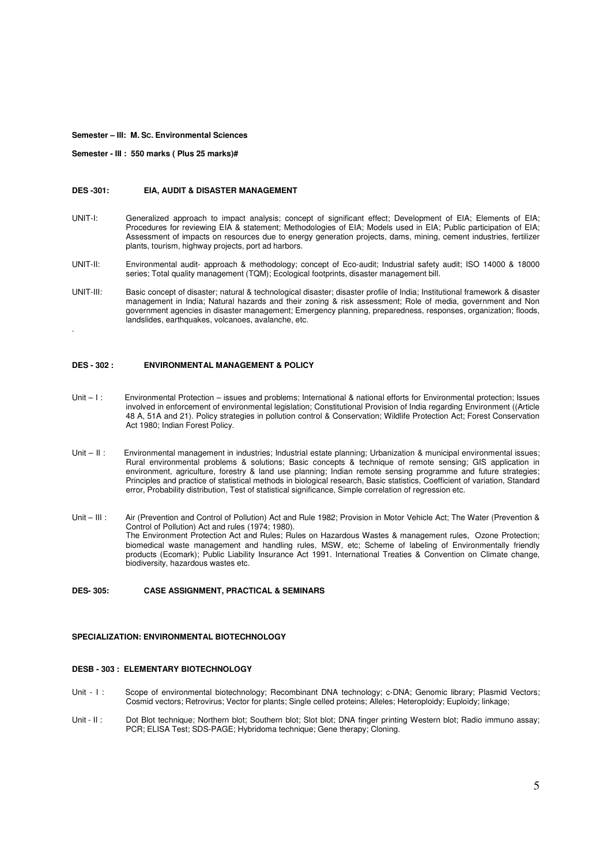**Semester – III: M. SC. Environmental Sciences** 

**Semester - III : 550 marks ( Plus 25 marks)#**

.

#### **DES -301: EIA, AUDIT & DISASTER MANAGEMENT**

- UNIT-I: Generalized approach to impact analysis; concept of significant effect; Development of EIA; Elements of EIA; Procedures for reviewing EIA & statement; Methodologies of EIA; Models used in EIA; Public participation of EIA; Assessment of impacts on resources due to energy generation projects, dams, mining, cement industries, fertilizer plants, tourism, highway projects, port ad harbors.
- UNIT-II: Environmental audit- approach & methodology; concept of Eco-audit; Industrial safety audit; ISO 14000 & 18000 series; Total quality management (TQM); Ecological footprints, disaster management bill.
- UNIT-III: Basic concept of disaster; natural & technological disaster; disaster profile of India; Institutional framework & disaster management in India; Natural hazards and their zoning & risk assessment; Role of media, government and Non government agencies in disaster management; Emergency planning, preparedness, responses, organization; floods, landslides, earthquakes, volcanoes, avalanche, etc.

# **DES - 302 : ENVIRONMENTAL MANAGEMENT & POLICY**

- Unit I: Environmental Protection issues and problems; International & national efforts for Environmental protection; Issues involved in enforcement of environmental legislation; Constitutional Provision of India regarding Environment ((Article 48 A, 51A and 21). Policy strategies in pollution control & Conservation; Wildlife Protection Act; Forest Conservation Act 1980; Indian Forest Policy.
- Unit II : Environmental management in industries; Industrial estate planning; Urbanization & municipal environmental issues; Rural environmental problems & solutions; Basic concepts & technique of remote sensing; GIS application in environment, agriculture, forestry & land use planning; Indian remote sensing programme and future strategies; Principles and practice of statistical methods in biological research, Basic statistics, Coefficient of variation, Standard error, Probability distribution, Test of statistical significance, Simple correlation of regression etc.
- Unit III : Air (Prevention and Control of Pollution) Act and Rule 1982; Provision in Motor Vehicle Act; The Water (Prevention & Control of Pollution) Act and rules (1974; 1980). The Environment Protection Act and Rules; Rules on Hazardous Wastes & management rules, Ozone Protection; biomedical waste management and handling rules, MSW, etc; Scheme of labeling of Environmentally friendly products (Ecomark); Public Liability Insurance Act 1991. International Treaties & Convention on Climate change, biodiversity, hazardous wastes etc.

#### **DES- 305: CASE ASSIGNMENT, PRACTICAL & SEMINARS**

# **SPECIALIZATION: ENVIRONMENTAL BIOTECHNOLOGY**

# **DESB - 303 : ELEMENTARY BIOTECHNOLOGY**

- Unit I : Scope of environmental biotechnology; Recombinant DNA technology; c-DNA; Genomic library; Plasmid Vectors; Cosmid vectors; Retrovirus; Vector for plants; Single celled proteins; Alleles; Heteroploidy; Euploidy; linkage;
- Unit II: Dot Blot technique; Northern blot; Southern blot; Slot blot; DNA finger printing Western blot; Radio immuno assay; PCR; ELISA Test; SDS-PAGE; Hybridoma technique; Gene therapy; Cloning.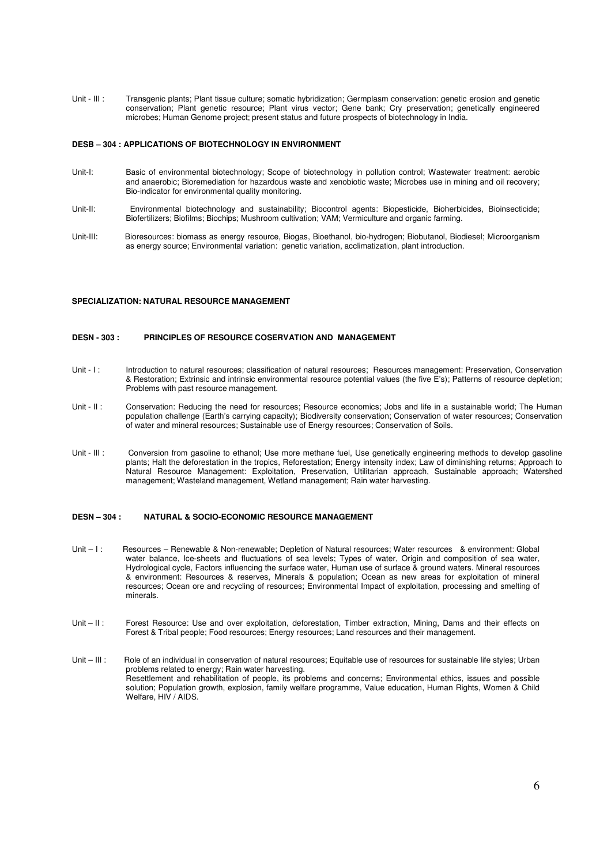Unit - III : Transgenic plants: Plant tissue culture; somatic hybridization: Germplasm conservation: genetic erosion and genetic conservation; Plant genetic resource; Plant virus vector; Gene bank; Cry preservation; genetically engineered microbes; Human Genome project; present status and future prospects of biotechnology in India.

# **DESB – 304 : APPLICATIONS OF BIOTECHNOLOGY IN ENVIRONMENT**

- Unit-I: Basic of environmental biotechnology; Scope of biotechnology in pollution control; Wastewater treatment: aerobic and anaerobic; Bioremediation for hazardous waste and xenobiotic waste; Microbes use in mining and oil recovery; Bio-indicator for environmental quality monitoring.
- Linit-II<sup>.</sup> Environmental biotechnology and sustainability; Biocontrol agents: Biopesticide, Bioherbicides, Bioinsecticide; Biofertilizers; Biofilms; Biochips; Mushroom cultivation; VAM; Vermiculture and organic farming.
- Unit-III: Bioresources: biomass as energy resource, Biogas, Bioethanol, bio-hydrogen; Biobutanol, Biodiesel; Microorganism as energy source; Environmental variation: genetic variation, acclimatization, plant introduction.

# **SPECIALIZATION: NATURAL RESOURCE MANAGEMENT**

#### **DESN - 303 : PRINCIPLES OF RESOURCE COSERVATION AND MANAGEMENT**

- Unit I: Introduction to natural resources; classification of natural resources; Resources management: Preservation, Conservation & Restoration; Extrinsic and intrinsic environmental resource potential values (the five E's); Patterns of resource depletion; Problems with past resource management.
- Unit II: Conservation: Reducing the need for resources; Resource economics; Jobs and life in a sustainable world; The Human population challenge (Earth's carrying capacity); Biodiversity conservation; Conservation of water resources; Conservation of water and mineral resources; Sustainable use of Energy resources; Conservation of Soils.
- Unit III : Conversion from gasoline to ethanol; Use more methane fuel, Use genetically engineering methods to develop gasoline plants; Halt the deforestation in the tropics, Reforestation; Energy intensity index; Law of diminishing returns; Approach to Natural Resource Management: Exploitation, Preservation, Utilitarian approach, Sustainable approach; Watershed management; Wasteland management, Wetland management; Rain water harvesting.

#### **DESN – 304 : NATURAL & SOCIO-ECONOMIC RESOURCE MANAGEMENT**

- Unit I: Resources Renewable & Non-renewable; Depletion of Natural resources; Water resources & environment: Global water balance, Ice-sheets and fluctuations of sea levels; Types of water, Origin and composition of sea water, Hydrological cycle, Factors influencing the surface water, Human use of surface & ground waters. Mineral resources & environment: Resources & reserves, Minerals & population; Ocean as new areas for exploitation of mineral resources; Ocean ore and recycling of resources; Environmental Impact of exploitation, processing and smelting of minerals.
- Unit II: Forest Resource: Use and over exploitation, deforestation, Timber extraction, Mining, Dams and their effects on Forest & Tribal people; Food resources; Energy resources; Land resources and their management.
- Unit III : Role of an individual in conservation of natural resources; Equitable use of resources for sustainable life styles; Urban problems related to energy; Rain water harvesting. Resettlement and rehabilitation of people, its problems and concerns; Environmental ethics, issues and possible solution; Population growth, explosion, family welfare programme, Value education, Human Rights, Women & Child Welfare, HIV / AIDS.